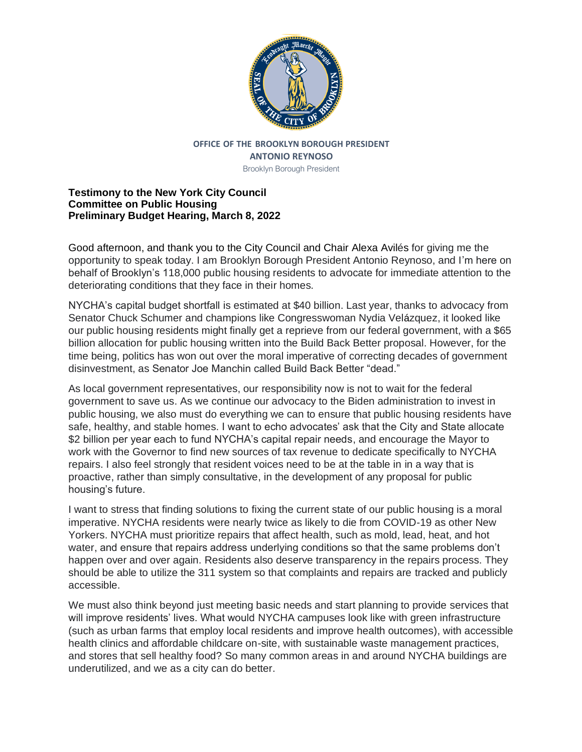

## **OFFICE OF THE BROOKLYN BOROUGH PRESIDENT ANTONIO REYNOSO**

Brooklyn Borough President

## **Testimony to the New York City Council Committee on Public Housing Preliminary Budget Hearing, March 8, 2022**

Good afternoon, and thank you to the City Council and Chair Alexa Avilés for giving me the opportunity to speak today. I am Brooklyn Borough President Antonio Reynoso, and I'm here on behalf of Brooklyn's 118,000 public housing residents to advocate for immediate attention to the deteriorating conditions that they face in their homes.

NYCHA's capital budget shortfall is estimated at \$40 billion. Last year, thanks to advocacy from Senator Chuck Schumer and champions like Congresswoman Nydia Velázquez, it looked like our public housing residents might finally get a reprieve from our federal government, with a \$65 billion allocation for public housing written into the Build Back Better proposal. However, for the time being, politics has won out over the moral imperative of correcting decades of government disinvestment, as Senator Joe Manchin called Build Back Better "dead."

As local government representatives, our responsibility now is not to wait for the federal government to save us. As we continue our advocacy to the Biden administration to invest in public housing, we also must do everything we can to ensure that public housing residents have safe, healthy, and stable homes. I want to echo advocates' ask that the City and State allocate \$2 billion per year each to fund NYCHA's capital repair needs, and encourage the Mayor to work with the Governor to find new sources of tax revenue to dedicate specifically to NYCHA repairs. I also feel strongly that resident voices need to be at the table in in a way that is proactive, rather than simply consultative, in the development of any proposal for public housing's future.

I want to stress that finding solutions to fixing the current state of our public housing is a moral imperative. NYCHA residents were nearly twice as likely to die from COVID-19 as other New Yorkers. NYCHA must prioritize repairs that affect health, such as mold, lead, heat, and hot water, and ensure that repairs address underlying conditions so that the same problems don't happen over and over again. Residents also deserve transparency in the repairs process. They should be able to utilize the 311 system so that complaints and repairs are tracked and publicly accessible.

We must also think beyond just meeting basic needs and start planning to provide services that will improve residents' lives. What would NYCHA campuses look like with green infrastructure (such as urban farms that employ local residents and improve health outcomes), with accessible health clinics and affordable childcare on-site, with sustainable waste management practices, and stores that sell healthy food? So many common areas in and around NYCHA buildings are underutilized, and we as a city can do better.